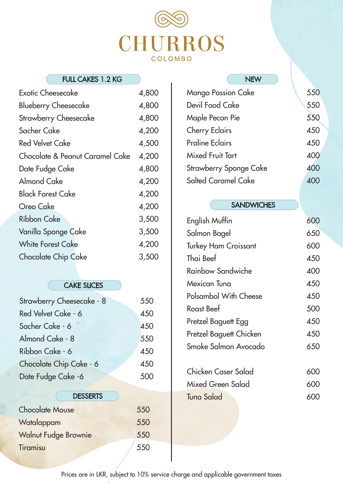### CAKE SLICES



| <b>FULL CAKES 1.2 KG</b>        |       | <b>NEW</b>                   |
|---------------------------------|-------|------------------------------|
| <b>Exotic Cheesecake</b>        | 4,800 | <b>Mango Passion Cake</b>    |
| <b>Blueberry Cheesecake</b>     | 4,800 | <b>Devil Food Cake</b>       |
| <b>Strawberry Cheesecake</b>    | 4,800 | Maple Pecan Pie              |
| <b>Sacher Cake</b>              | 4,200 | <b>Cherry Eclairs</b>        |
| <b>Red Velvet Cake</b>          | 4,500 | <b>Praline Eclairs</b>       |
| Chocolate & Peanut Caramel Cake | 4,200 | <b>Mixed Fruit Tart</b>      |
| Date Fudge Cake                 | 4,800 | <b>Strawberry Sponge Cal</b> |
| <b>Almond Cake</b>              | 4,200 | <b>Salted Caramel Cake</b>   |
| <b>Black Forest Cake</b>        | 4,200 |                              |
| <b>Oreo Cake</b>                | 4,200 | <b>SANDWIC</b>               |
| <b>Ribbon Cake</b>              | 3,500 | English Muffin               |
| Vanilla Sponge Cake             | 3,500 | Salmon Bagel                 |
| <b>White Forest Cake</b>        | 4,200 | <b>Turkey Ham Croissant</b>  |
| <b>Chocolate Chip Cake</b>      | 3,500 | Thai Beef                    |
|                                 |       |                              |

| <b>Mango Passion Cake</b>     | 550 |
|-------------------------------|-----|
| <b>Devil Food Cake</b>        | 550 |
| <b>Maple Pecan Pie</b>        | 550 |
| <b>Cherry Eclairs</b>         | 450 |
| <b>Praline Eclairs</b>        | 450 |
| <b>Mixed Fruit Tart</b>       | 400 |
| <b>Strawberry Sponge Cake</b> | 400 |
| <b>Salted Caramel Cake</b>    |     |

#### **SANDWICHES**

| Strawberry Cheesecake - 8 | 550 |
|---------------------------|-----|
| Red Velvet Cake - 6       | 450 |
| Sacher Cake - 6           | 450 |
| Almond Cake - 8           | 550 |
| Ribbon Cake - 6           | 450 |
| Chocolate Chip Cake - 6   | 450 |



| <b>English Muffin</b>        | 600 |
|------------------------------|-----|
| Salmon Bagel                 | 650 |
| <b>Turkey Ham Croissant</b>  | 600 |
| Thai Beef                    | 450 |
| <b>Rainbow Sandwiche</b>     | 400 |
| <b>Mexican Tuna</b>          | 450 |
| <b>Polsambol With Cheese</b> | 450 |
| <b>Roast Beef</b>            | 500 |
| Pretzel Baguett Egg          | 450 |
| Pretzel Baguett Chicken      | 450 |
| Smoke Salmon Avocado         | 65  |

600

600 600

Prices are in LKR, subject to 10% service charge and applicable government taxes